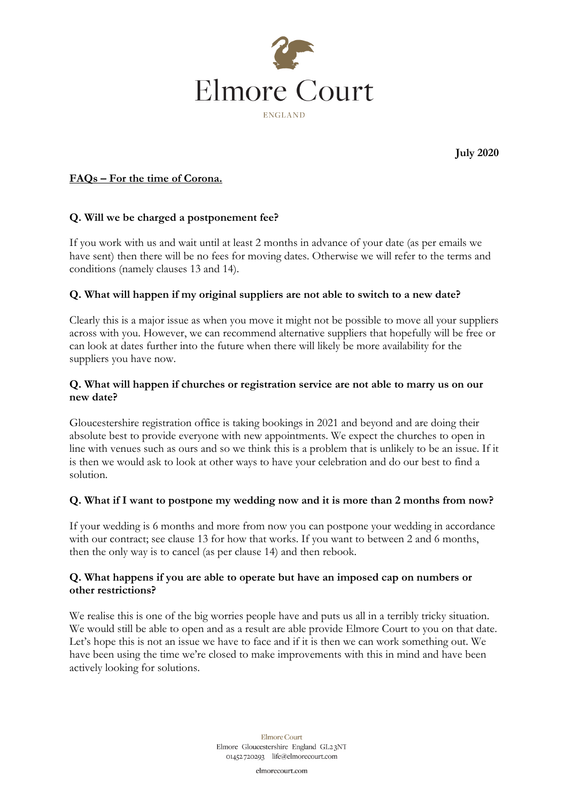

**July 2020**

# **FAQs – For the time of Corona.**

### **Q. Will we be charged a postponement fee?**

If you work with us and wait until at least 2 months in advance of your date (as per emails we have sent) then there will be no fees for moving dates. Otherwise we will refer to the terms and conditions (namely clauses 13 and 14).

#### **Q. What will happen if my original suppliers are not able to switch to a new date?**

Clearly this is a major issue as when you move it might not be possible to move all your suppliers across with you. However, we can recommend alternative suppliers that hopefully will be free or can look at dates further into the future when there will likely be more availability for the suppliers you have now.

### **Q. What will happen if churches or registration service are not able to marry us on our new date?**

Gloucestershire registration office is taking bookings in 2021 and beyond and are doing their absolute best to provide everyone with new appointments. We expect the churches to open in line with venues such as ours and so we think this is a problem that is unlikely to be an issue. If it is then we would ask to look at other ways to have your celebration and do our best to find a solution.

#### **Q. What if I want to postpone my wedding now and it is more than 2 months from now?**

If your wedding is 6 months and more from now you can postpone your wedding in accordance with our contract; see clause 13 for how that works. If you want to between 2 and 6 months, then the only way is to cancel (as per clause 14) and then rebook.

#### **Q. What happens if you are able to operate but have an imposed cap on numbers or other restrictions?**

We realise this is one of the big worries people have and puts us all in a terribly tricky situation. We would still be able to open and as a result are able provide Elmore Court to you on that date. Let's hope this is not an issue we have to face and if it is then we can work something out. We have been using the time we're closed to make improvements with this in mind and have been actively looking for solutions.

> Elmore Court Elmore Gloucestershire England GL23NT 01452720293 life@elmorecourt.com

> > elmorecourt.com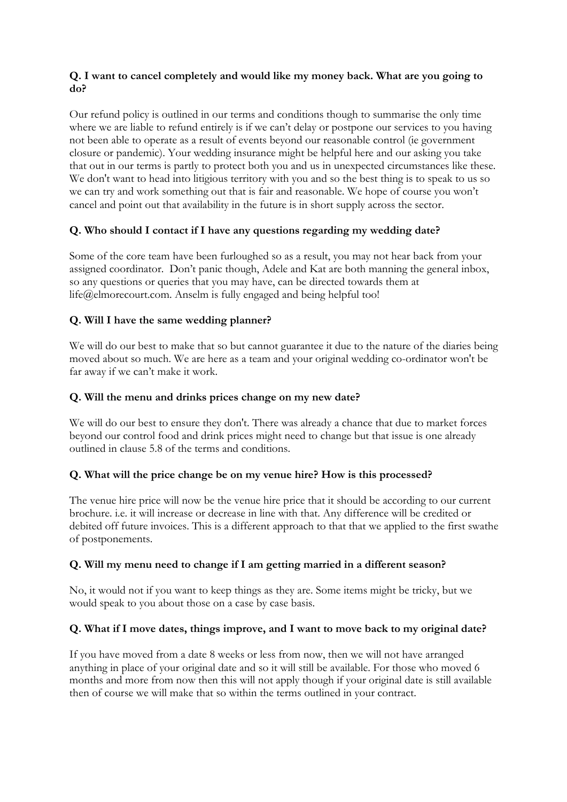### **Q. I want to cancel completely and would like my money back. What are you going to do?**

Our refund policy is outlined in our terms and conditions though to summarise the only time where we are liable to refund entirely is if we can't delay or postpone our services to you having not been able to operate as a result of events beyond our reasonable control (ie government closure or pandemic). Your wedding insurance might be helpful here and our asking you take that out in our terms is partly to protect both you and us in unexpected circumstances like these. We don't want to head into litigious territory with you and so the best thing is to speak to us so we can try and work something out that is fair and reasonable. We hope of course you won't cancel and point out that availability in the future is in short supply across the sector.

# **Q. Who should I contact if I have any questions regarding my wedding date?**

Some of the core team have been furloughed so as a result, you may not hear back from your assigned coordinator. Don't panic though, Adele and Kat are both manning the general inbox, so any questions or queries that you may have, can be directed towards them at life@elmorecourt.com. Anselm is fully engaged and being helpful too!

# **Q. Will I have the same wedding planner?**

We will do our best to make that so but cannot guarantee it due to the nature of the diaries being moved about so much. We are here as a team and your original wedding co-ordinator won't be far away if we can't make it work.

# **Q. Will the menu and drinks prices change on my new date?**

We will do our best to ensure they don't. There was already a chance that due to market forces beyond our control food and drink prices might need to change but that issue is one already outlined in clause 5.8 of the terms and conditions.

# **Q. What will the price change be on my venue hire? How is this processed?**

The venue hire price will now be the venue hire price that it should be according to our current brochure. i.e. it will increase or decrease in line with that. Any difference will be credited or debited off future invoices. This is a different approach to that that we applied to the first swathe of postponements.

# **Q. Will my menu need to change if I am getting married in a different season?**

No, it would not if you want to keep things as they are. Some items might be tricky, but we would speak to you about those on a case by case basis.

# **Q. What if I move dates, things improve, and I want to move back to my original date?**

If you have moved from a date 8 weeks or less from now, then we will not have arranged anything in place of your original date and so it will still be available. For those who moved 6 months and more from now then this will not apply though if your original date is still available then of course we will make that so within the terms outlined in your contract.